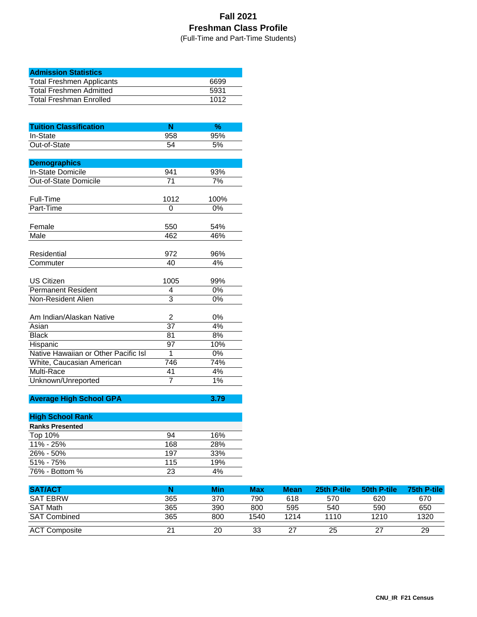## **Fall 2021 Freshman Class Profile**

(Full-Time and Part-Time Students)

| <b>Admission Statistics</b>      |      |
|----------------------------------|------|
| <b>Total Freshmen Applicants</b> | 6699 |
| <b>Total Freshmen Admitted</b>   | 5931 |
| <b>Total Freshman Enrolled</b>   | 1012 |

| 95%<br>In-State<br>958<br>Out-of-State<br>54<br>5%<br><b>Demographics</b><br><b>In-State Domicile</b><br>941<br>93%<br>Out-of-State Domicile<br>71<br>7%<br>Full-Time<br>1012<br>100%<br>Part-Time<br>0%<br>0<br>Female<br>550<br>54%<br>Male<br>462<br>46%<br>Residential<br>972<br>96%<br>4%<br>Commuter<br>40<br><b>US Citizen</b><br>1005<br>99%<br>0%<br><b>Permanent Resident</b><br>4<br>3<br>Non-Resident Alien<br>0%<br>Am Indian/Alaskan Native<br>0%<br>2<br>37<br>4%<br>Asian<br><b>Black</b><br>81<br>8%<br>Hispanic<br>97<br>10%<br>Native Hawaiian or Other Pacific Isl<br>1<br>0%<br>746<br>White, Caucasian American<br>74% | <b>Tuition Classification</b> | N  | %  |
|----------------------------------------------------------------------------------------------------------------------------------------------------------------------------------------------------------------------------------------------------------------------------------------------------------------------------------------------------------------------------------------------------------------------------------------------------------------------------------------------------------------------------------------------------------------------------------------------------------------------------------------------|-------------------------------|----|----|
|                                                                                                                                                                                                                                                                                                                                                                                                                                                                                                                                                                                                                                              |                               |    |    |
|                                                                                                                                                                                                                                                                                                                                                                                                                                                                                                                                                                                                                                              |                               |    |    |
|                                                                                                                                                                                                                                                                                                                                                                                                                                                                                                                                                                                                                                              |                               |    |    |
|                                                                                                                                                                                                                                                                                                                                                                                                                                                                                                                                                                                                                                              |                               |    |    |
|                                                                                                                                                                                                                                                                                                                                                                                                                                                                                                                                                                                                                                              |                               |    |    |
|                                                                                                                                                                                                                                                                                                                                                                                                                                                                                                                                                                                                                                              |                               |    |    |
|                                                                                                                                                                                                                                                                                                                                                                                                                                                                                                                                                                                                                                              |                               |    |    |
|                                                                                                                                                                                                                                                                                                                                                                                                                                                                                                                                                                                                                                              |                               |    |    |
|                                                                                                                                                                                                                                                                                                                                                                                                                                                                                                                                                                                                                                              |                               |    |    |
|                                                                                                                                                                                                                                                                                                                                                                                                                                                                                                                                                                                                                                              |                               |    |    |
|                                                                                                                                                                                                                                                                                                                                                                                                                                                                                                                                                                                                                                              |                               |    |    |
|                                                                                                                                                                                                                                                                                                                                                                                                                                                                                                                                                                                                                                              |                               |    |    |
|                                                                                                                                                                                                                                                                                                                                                                                                                                                                                                                                                                                                                                              |                               |    |    |
|                                                                                                                                                                                                                                                                                                                                                                                                                                                                                                                                                                                                                                              |                               |    |    |
|                                                                                                                                                                                                                                                                                                                                                                                                                                                                                                                                                                                                                                              |                               |    |    |
|                                                                                                                                                                                                                                                                                                                                                                                                                                                                                                                                                                                                                                              |                               |    |    |
|                                                                                                                                                                                                                                                                                                                                                                                                                                                                                                                                                                                                                                              |                               |    |    |
|                                                                                                                                                                                                                                                                                                                                                                                                                                                                                                                                                                                                                                              |                               |    |    |
|                                                                                                                                                                                                                                                                                                                                                                                                                                                                                                                                                                                                                                              |                               |    |    |
|                                                                                                                                                                                                                                                                                                                                                                                                                                                                                                                                                                                                                                              |                               |    |    |
|                                                                                                                                                                                                                                                                                                                                                                                                                                                                                                                                                                                                                                              |                               |    |    |
|                                                                                                                                                                                                                                                                                                                                                                                                                                                                                                                                                                                                                                              |                               |    |    |
|                                                                                                                                                                                                                                                                                                                                                                                                                                                                                                                                                                                                                                              |                               |    |    |
|                                                                                                                                                                                                                                                                                                                                                                                                                                                                                                                                                                                                                                              |                               |    |    |
|                                                                                                                                                                                                                                                                                                                                                                                                                                                                                                                                                                                                                                              |                               |    |    |
|                                                                                                                                                                                                                                                                                                                                                                                                                                                                                                                                                                                                                                              |                               |    |    |
|                                                                                                                                                                                                                                                                                                                                                                                                                                                                                                                                                                                                                                              | Multi-Race                    | 41 | 4% |
| 7<br>1%<br>Unknown/Unreported                                                                                                                                                                                                                                                                                                                                                                                                                                                                                                                                                                                                                |                               |    |    |

## **Average High School GPA 3.79**

| <b>High School Rank</b> |     |     |
|-------------------------|-----|-----|
| <b>Ranks Presented</b>  |     |     |
| Top 10%                 | 94  | 16% |
| 11% - 25%               | 168 | 28% |
| $26\% - 50\%$           | 197 | 33% |
| $51\% - 75\%$           | 115 | 19% |
| 76% - Bottom %          | 23  | 4%  |

| <b>SAT/ACT</b>       |     | <b>Min</b> | <b>Max</b> | <b>Mean</b> | 25th P-tile | 50th P-tile | 75th P-tile |
|----------------------|-----|------------|------------|-------------|-------------|-------------|-------------|
| <b>SAT EBRW</b>      | 365 | 370        | 790        | 618         | 570         | 620         | 670         |
| SAT Math             | 365 | 390        | 800        | 595         | 540         | 590         | 650         |
| <b>SAT Combined</b>  | 365 | 800        | 1540       | 1214        | 1110        | 1210        | 1320        |
| <b>ACT Composite</b> |     | 20         | 33         | 27          | 25          | 27          | 29          |